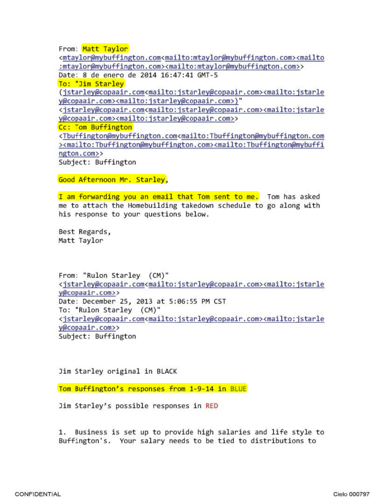From: Matt Taylor

<mtaylor@mybuffington.com<mailto:mtaylor@mybuffington.com><mailto :mtaylor@mybuffington.com><mailto:mtaylor@mybuffington.com>>

Date: 8 de enero de 2014 16:47:41 GMT-5

To: "Jim Starley

(jstarley@copaair.com<mailto:jstarley@copaair.com><mailto:jstarle y@copaair.com><mailto:jstarley@copaair.com>) "

<jstarley@copaair.com<mailto:jstarley@copaair. com><mailto: jstarle y@copaair.com><mailto:jstarley@copaair.com>>

Cc: Tom Buffington

<Tbuffington@mybuffington.com<mailto:Tbuffington@mybuffington.com ><mailto:Tbuffington@mybuffington.com><mailto:Tbuffington@mybuffi ngton. com»

Subject: Buffington

Good Afternoon Mr. Starley,

I am forwarding you an email that Tom sent to me. Tom has asked me to attach the Homebuilding takedown schedule to go along with his response to your questions below.

Best Regards, Matt Taylor

From: "Rulon Starley (CM) " <jstarley@copaair.com<mailto:jstarley@copaair.com><mailto:jstarle y@copaair.com>> Date: December 25, 2013 at 5:06:55 PM CST To: "Rulon Starley (CM)" <jstarley@copaair.com<mailto:jstarley@copaair.com><mailto:jstarle y@copaair.com» Subject : Buffington

Jim Starley original in BLACK

Tom Buffington's responses from 1-9-14 in BLUE

Jim Starley's possible responses in RED

1. Business is set up to provide high salaries and life style to Buffington's. Your salary needs to be tied to distributions to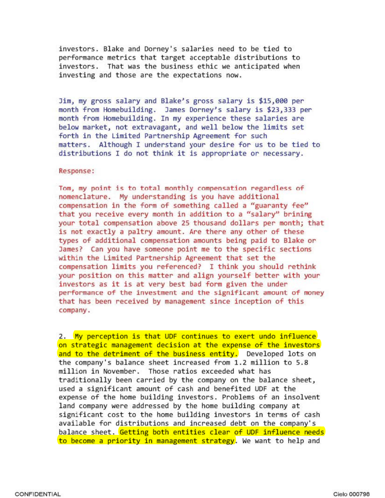investors. Blake and Dorney's salaries need to be tied to performance metrics that target acceptable distributions to investors. That was the business ethic we anticipated when investing and those are the expectations now.

Jim, my gross salary and Blake's gross salary is \$15,000 per month from Homebuilding. James Dorney's salary is \$23,333 per month from Homebuilding. In my experience these salaries are below market, not extravagant, and well below the limits set forth in the Limited Partnership Agreement for such matters. Although I understand your desire for us to be tied to distributions I do not think it is appropriate or necessary.

# Response:

Tom, my point is to total monthly compensation regardless of nomenclature. My understanding is you have additional compensation in the form of something called a "guaranty fee" that you receive every month in addition to a "salary" brining your total compensation above 25 thousand dollars per month; that is not exactly a paltry amount. Are there any other of these types of additional compensation amounts being paid to Blake or James? Can you have someone point me to the specific sections within the Limited Partnership Agreement that set the compensation limits you referenced? I think you should rethink your position on this matter and align yourself better with your investors as it is at very best bad form given the under performance of the investment and the significant amount of money that has been received by managenent since inception of this company.

2. My perception is that UDF continues to exert undo influence on strategic management decision at the expense of the investors and to the detriment of the business entity. Developed lots on the company's balance sheet increased from 1.2 million to 5.8 million in November. Those ratios exceeded what has traditionally been carried by the company on the balance sheet, used a significant amount of cash and benefited UDF at the expense of the home building investors. Problems of an insolvent l and company were addressed by the home building company at significant cost to the home building investors in terms of cash available for distributions and increased debt on the company's balance sheet. Getting both entities clear of UDF influence needs to become a priority in management strategy. We want to help and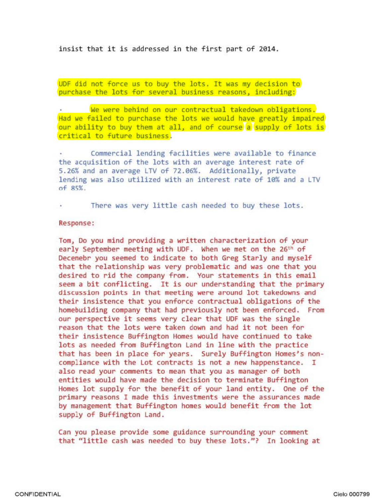insist that it is addressed in the first part of 2014.

UDF did not force us to buy the lots. It was my decision to purchase the lots for several business reasons, including:

We were behind on our contractual takedown obligations. Had we failed to purchase the lots we would have greatly impaired our ability to buy them at all, and of course a supply of lots is critical to future business.

Commercial lending facilities were available to finance the acquisition of the lots with an average interest rate of 5.26% and an average LTV of 72.06%. Additionally, private lending was also utilized with an interest rate of 10% and a LTV  $of 85%$ .

There was very little cash needed to buy these lots.

### Response:

Tom, Do you mind providing a written characterization of your early September meeting with UDF. When we met on the 26<sup>th</sup> of Decenebr you seemed to indicate to both Greg Starly and myself that the relationship was very problematic and was one that you desired to rid the company from. Your statements in this email seem a bit conflicting. It is our understanding that the primary discussion points in that meeting were around lot takedowns and their insistence that you enforce contractual obligations of the homebuilding company that had previously not been enforced. From our perspective it seems very clear that UDF was the single reason that the lots were taken down and had it not been for their insistence Buffington Homes would have continued to take lots as needed from Buffington Land in line with the practice that has been in place for years. Surely Buffington Homes's noncompliance with the Lot contracts is not a new happenstance. I also read your comments to mean that you as manager of both entities would have made the decision to terminate Buffington Homes lot supply for the benefit of your land entity. One of the primary reasons I made this investments were the assurances made by management that Buffington homes would benefit from the lot supply of Buffington Land.

Can you please provide some guidance surrounding your comment that "little cash was needed to buy these lots."? In looking at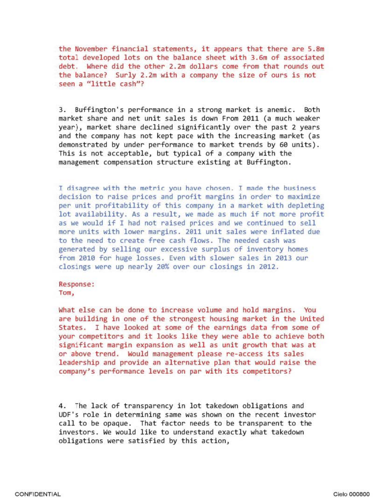the November financial statements, it appears that there are 5.8m total developed lots on the balance sheet with 3.6m of associated debt. Where did the other 2.2m dollars come from that rounds out the balance? Surly 2.2m with a company the size of ours is not seen a "little cash"?

3. Buffington's performance in a strong market is anemic. Both market share and net unit sales is down From 2011 (a much weaker year) , market share declined significantly over the past 2 years and the company has not kept pace with the increasing market (as demonstrated by under performance to market trends by 60 units). This is not acceptable, but typical of a company with the management compensation structure existing at Buffington.

I disagree with the metric you have chosen. I made the business decision to raise prices and profit margins in order to maximize per unit profitability of this company in a market with depleting lot availability. As a result, we made as much if not more profit as we would if I had not raised prices and we continued to sell more units with lower margins. 2011 unit sales were inflated due to the need to create free cash flows. The needed cash was generated by selling our excessive surplus of inventory homes from 2010 for huge losses. Even with slower sales in 2013 our closings were up nearly 20% over our closings in 2012.

Response: Tom,

What else can be done to increase volume and hold margins. You are building in one of the strongest housing market in the United States. I have looked at some of the earnings data from some of your competitors and it looks like they were able to achieve both significant margin expansion as well as unit growth that was at or above trend. Would management please re-access its sales leadership and provide an alternative plan that would raise the company's performance levels on par with its competitors?

4. The lack of transparency in lot takedown obligations and UDF's role in determining same was shown on the recent investor call to be opaque. That factor needs to be transparent to the investors. We would like to understand exactly what takedown obligations were satisfied by this action,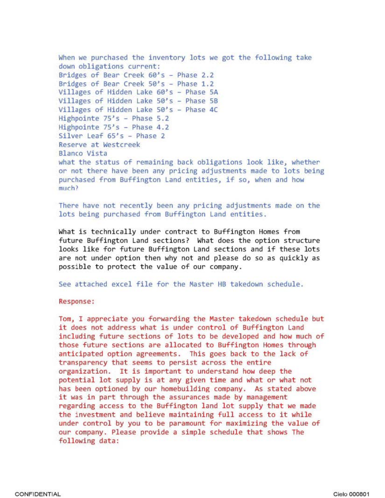```
When we purchased the inventory lots we got the following take 
down obligations current: 
Bridges of Bear Creek 60's - Phase 2.2 
Bridges of Bear Creek 50's - Phase 1.2 
Villages of Hidden Lake 60's - Phase 5A
Villages of Hidden Lake 50's - Phase SB 
Villages of Hidden Lake 50's - Phase 4C 
Highpointe 75's - Phase 5.2
Highpointe 75's - Phase 4.2 
Silver Leaf 65's - Phase 2 
Reserve at Westcreek 
Blanco Vista 
what the status of remaining back obligations look like, whether 
or not there have been any pricing adjustments made to lots being 
purchased from Buffington Land entities, if so, when and how 
much?
```
There have not recently been any pricing adjustments made on the lots being purchased from Buffington Land entities.

What is technically under contract to Buffington Homes from future Buffington Land sections? What does the option structure looks like for future Buffington Land sections and if these lots are not under option then why not and please do so as quickly as possible to protect the value of our company.

See attached excel file for the Master HB takedown schedule.

Response:

Tom, I appreciate you forwarding the Master takedown schedule but it does not address what is under control of Buffington Land including future sections of lots to be developed and how much of those future sections are allocated to Buffington Homes through anticipated option agreements. This goes back to the lack of transparency that seems to persist across the entire organization. It is important to understand how deep the potential lot supply is at any given time and what or what not has been optioned by our homebuilding company. As stated above it was in part through the assurances made by management regarding access to the Buffington land lot supply that we made the investment and believe maintaining full access to it while under control by you to be paramount for maximizing the value of our company. Please provide a sinple schedule that shows The following data: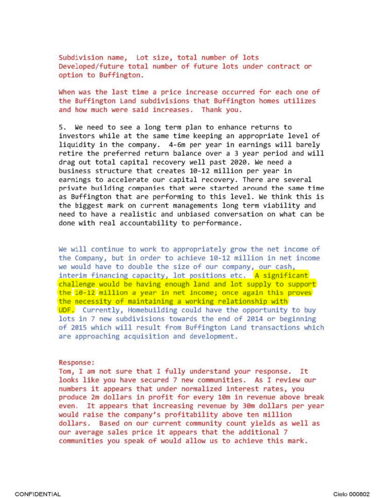Subdivision name, Lot size, total number of lots Developed/future total number of future lots under contract or option to Buffington.

When was the last time a price increase occurred for each one of the Buffington Land subdivisions that Buffington homes utilizes and how much were said increases. Thank you.

S. We need to see a long term plan to enhance returns to investors while at the same time keeping an appropriate level of liquidity in the company. 4-6m per year in earnings will barely retire the preferred return balance over a 3 year period and will drag out total capital recovery well past 2020. We need a business structure that creates 10-12 million per year in earnings to accelerate our capital recovery. There are several private building companies that were started around the same time as Buffington that are performing to this level. We think this is the biggest mark on current managements long term viability and need to have a realistic and unbiased conversation on what can be done with real accountability to performance.

We will continue to work to appropriately grow the net income of the Company, but in order to achieve 10-12 million in net income we would have to double the size of our company, our cash, interim financing capacity, lot positions etc. A significant chall enge would be having enough land and lot supply to support the 10-12 million a year in net income; once again this proves the necessity of maintaining a working relationship with UDF. Currently, Homebuilding could have the opportunity to buy lots in 7 new subdivisions towards the end of 2014 or beginning of 2015 which will result from Buffington Land transactions which are approaching acquisition and development.

#### Response:

Tom, I am not sure that I fully understand your response. It looks like you have secured 7 new communities. As I review our numbers it appears that under normalized interest rates, you produce 2m dollars in profit for every 10m in revenue above break even. It appears that increasing revenue by 30m dollars per year would raise the company's profitability above ten million dollars. Based on our current community count yields as well as our average sales price it appears that the additional 7 communities you speak of would allow us to achieve this mark.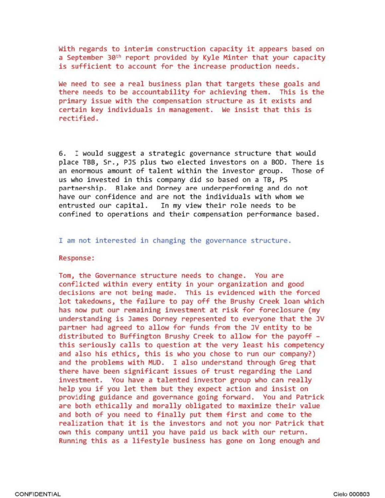With regards to interim construction capacity it appears based on a September 30<sup>th</sup> report provided by Kyle Minter that your capacity is sufficient to account for the increase production needs.

We need to see a real business plan that targets these goals and there needs to be accountability for achieving them. This is the primary issue with the compensation structure as it exists and certain key individuals in management. We insist that this is rectified.

6 . I would suggest a strategic governance structure that would place TBB, Sr., PJS plus two elected investors on a BOD. There is an enormous amount of talent within the investor group. Those of us who invested in this company did so based on a TB, PS partnership. Blake and Dorney are underperforming and do not have our confidence and are not the individuals with whom we<br>entrusted our capital. In my view their role needs to be In my view their role needs to be confined to operations and their compensation performance based.

## I am not interested in changing the governance structure.

## Response:

Tom, the Governance structure needs to change. You are conflicted within every entity in your organization and good decisions are not being made. This is evidenced with the forced lot takedowns, the failure to pay off the Brushy Creek loan which has now put our remaining investment at risk for foreclosure (my understanding is James Dorney represented to everyone that the JV partner had agreed to allow for funds from the JV entity to be distributed to Buffington Brushy Creek to allow for the payoff -<br>this seriously calls to question at the very least his competency and also his ethics, this is who you chose to run our company?) and the problems with MUD. I also understand through Greg that there have been significant issues of trust regarding the Land investment. You have a talented investor group who can really help you if you let them but they expect action and insist on providing guidance and governance going forward. You and Patrick are both ethically and morally obligated to maximize their value and both of you need to finally put them first and come to the realization that it is the investors and not you nor Patrick that own this company until you have paid us back with our return. Running this as a lifestyle business has gone on long enough and